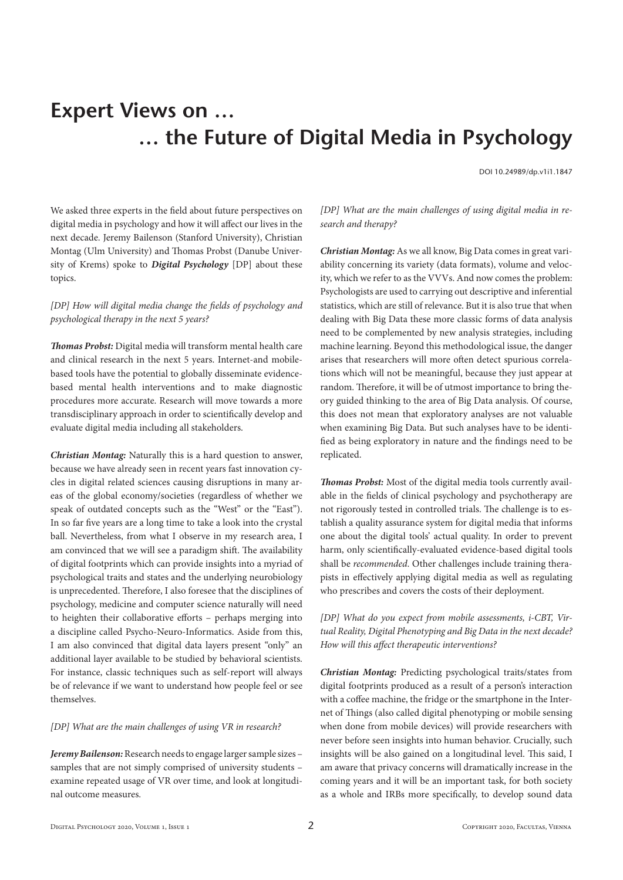# **Expert Views on … … the Future of Digital Media in Psychology**

DOI 10.24989/dp.v1i1.1847

We asked three experts in the field about future perspectives on digital media in psychology and how it will affect our lives in the next decade. Jeremy Bailenson (Stanford University), Christian Montag (Ulm University) and Thomas Probst (Danube University of Krems) spoke to *Digital Psychology* [DP] about these topics.

## *[DP] How will digital media change the fields of psychology and psychological therapy in the next 5 years?*

*Thomas Probst:* Digital media will transform mental health care and clinical research in the next 5 years. Internet-and mobilebased tools have the potential to globally disseminate evidencebased mental health interventions and to make diagnostic procedures more accurate. Research will move towards a more transdisciplinary approach in order to scientifically develop and evaluate digital media including all stakeholders.

*Christian Montag:* Naturally this is a hard question to answer, because we have already seen in recent years fast innovation cycles in digital related sciences causing disruptions in many areas of the global economy/societies (regardless of whether we speak of outdated concepts such as the "West" or the "East"). In so far five years are a long time to take a look into the crystal ball. Nevertheless, from what I observe in my research area, I am convinced that we will see a paradigm shift. The availability of digital footprints which can provide insights into a myriad of psychological traits and states and the underlying neurobiology is unprecedented. Therefore, I also foresee that the disciplines of psychology, medicine and computer science naturally will need to heighten their collaborative efforts – perhaps merging into a discipline called Psycho-Neuro-Informatics. Aside from this, I am also convinced that digital data layers present "only" an additional layer available to be studied by behavioral scientists. For instance, classic techniques such as self-report will always be of relevance if we want to understand how people feel or see themselves.

## *[DP] What are the main challenges of using VR in research?*

*Jeremy Bailenson:* Research needs to engage larger sample sizes – samples that are not simply comprised of university students – examine repeated usage of VR over time, and look at longitudinal outcome measures.

*[DP] What are the main challenges of using digital media in research and therapy?*

*Christian Montag:* As we all know, Big Data comes in great variability concerning its variety (data formats), volume and velocity, which we refer to as the VVVs. And now comes the problem: Psychologists are used to carrying out descriptive and inferential statistics, which are still of relevance. But it is also true that when dealing with Big Data these more classic forms of data analysis need to be complemented by new analysis strategies, including machine learning. Beyond this methodological issue, the danger arises that researchers will more often detect spurious correlations which will not be meaningful, because they just appear at random. Therefore, it will be of utmost importance to bring theory guided thinking to the area of Big Data analysis. Of course, this does not mean that exploratory analyses are not valuable when examining Big Data. But such analyses have to be identified as being exploratory in nature and the findings need to be replicated.

*Thomas Probst:* Most of the digital media tools currently available in the fields of clinical psychology and psychotherapy are not rigorously tested in controlled trials. The challenge is to establish a quality assurance system for digital media that informs one about the digital tools' actual quality. In order to prevent harm, only scientifically-evaluated evidence-based digital tools shall be *recommended*. Other challenges include training therapists in effectively applying digital media as well as regulating who prescribes and covers the costs of their deployment.

*[DP] What do you expect from mobile assessments, i-CBT, Virtual Reality, Digital Phenotyping and Big Data in the next decade? How will this affect therapeutic interventions?*

*Christian Montag:* Predicting psychological traits/states from digital footprints produced as a result of a person's interaction with a coffee machine, the fridge or the smartphone in the Internet of Things (also called digital phenotyping or mobile sensing when done from mobile devices) will provide researchers with never before seen insights into human behavior. Crucially, such insights will be also gained on a longitudinal level. This said, I am aware that privacy concerns will dramatically increase in the coming years and it will be an important task, for both society as a whole and IRBs more specifically, to develop sound data